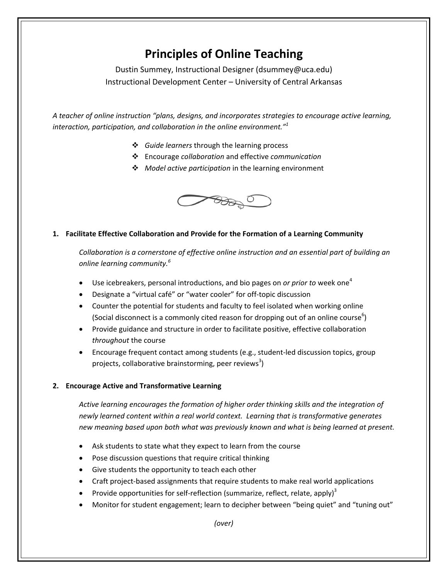# **Principles of Online Teaching**

Dustin Summey, Instructional Designer (dsummey@uca.edu) Instructional Development Center – University of Central Arkansas

*A teacher of online instruction "plans, designs, and incorporates strategies to encourage active learning, interaction, participation, and collaboration in the online environment."<sup>1</sup>*

- *Guide learners* through the learning process
- Encourage *collaboration* and effective *communication*
- *Model active participation* in the learning environment



## **1. Facilitate Effective Collaboration and Provide for the Formation of a Learning Community**

*Collaboration is a cornerstone of effective online instruction and an essential part of building an online learning community. 6*

- Use icebreakers, personal introductions, and bio pages on *or prior to* week one<sup>4</sup>
- Designate a "virtual café" or "water cooler" for off-topic discussion
- Counter the potential for students and faculty to feel isolated when working online (Social disconnect is a commonly cited reason for dropping out of an online course $^6$ )
- Provide guidance and structure in order to facilitate positive, effective collaboration *throughout* the course
- Encourage frequent contact among students (e.g., student-led discussion topics, group projects, collaborative brainstorming, peer reviews<sup>3</sup>)

#### **2. Encourage Active and Transformative Learning**

*Active learning encourages the formation of higher order thinking skills and the integration of newly learned content within a real world context. Learning that is transformative generates new meaning based upon both what was previously known and what is being learned at present.*

- Ask students to state what they expect to learn from the course
- Pose discussion questions that require critical thinking
- Give students the opportunity to teach each other
- Craft project-based assignments that require students to make real world applications
- Provide opportunities for self-reflection (summarize, reflect, relate, apply)<sup>3</sup>
- Monitor for student engagement; learn to decipher between "being quiet" and "tuning out"

*(over)*